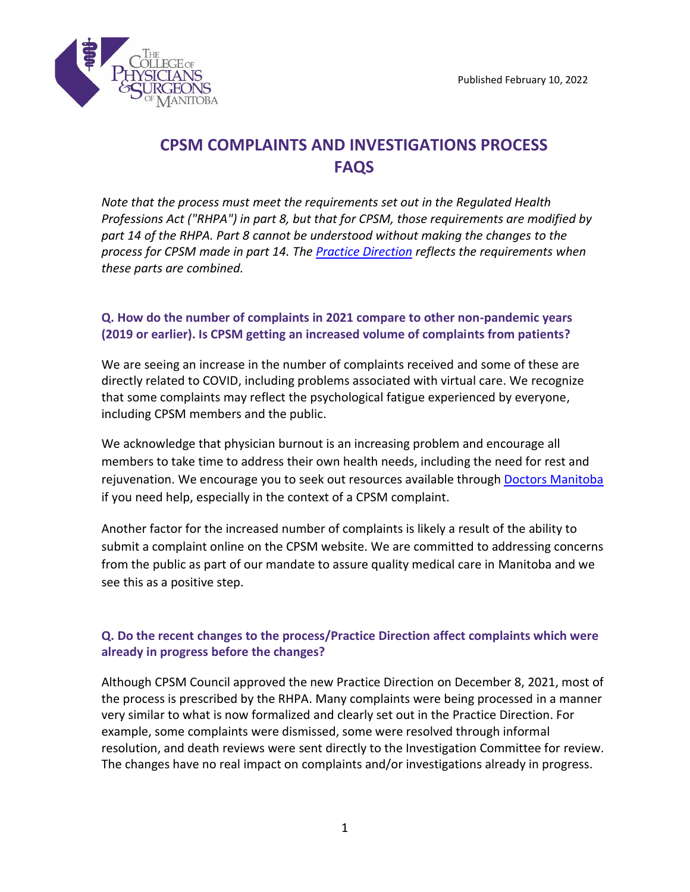

# **CPSM COMPLAINTS AND INVESTIGATIONS PROCESS FAQS**

*Note that the process must meet the requirements set out in the Regulated Health Professions Act ("RHPA") in part 8, but that for CPSM, those requirements are modified by part 14 of the RHPA. Part 8 cannot be understood without making the changes to the process for CPSM made in part 14. The [Practice Direction](https://cpsm.mb.ca/assets/Practice%20Directions/Complaints%20Investigations%20Resolving%20Conflict%20&%20CPSMs%20Complaints%20&%20Investigations%20Process.pdf) reflects the requirements when these parts are combined.*

## **Q. How do the number of complaints in 2021 compare to other non-pandemic years (2019 or earlier). Is CPSM getting an increased volume of complaints from patients?**

We are seeing an increase in the number of complaints received and some of these are directly related to COVID, including problems associated with virtual care. We recognize that some complaints may reflect the psychological fatigue experienced by everyone, including CPSM members and the public.

We acknowledge that physician burnout is an increasing problem and encourage all members to take time to address their own health needs, including the need for rest and rejuvenation. We encourage you to seek out resources available through [Doctors Manitoba](https://doctorsmanitoba.ca/) if you need help, especially in the context of a CPSM complaint.

Another factor for the increased number of complaints is likely a result of the ability to submit a complaint online on the CPSM website. We are committed to addressing concerns from the public as part of our mandate to assure quality medical care in Manitoba and we see this as a positive step.

# **Q. Do the recent changes to the process/Practice Direction affect complaints which were already in progress before the changes?**

Although CPSM Council approved the new Practice Direction on December 8, 2021, most of the process is prescribed by the RHPA. Many complaints were being processed in a manner very similar to what is now formalized and clearly set out in the Practice Direction. For example, some complaints were dismissed, some were resolved through informal resolution, and death reviews were sent directly to the Investigation Committee for review. The changes have no real impact on complaints and/or investigations already in progress.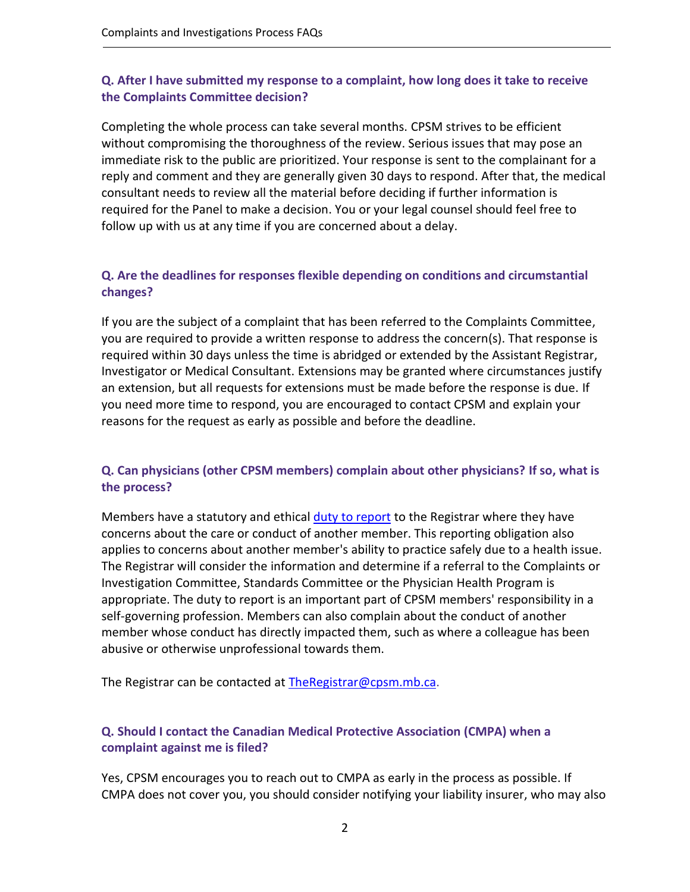## **Q. After I have submitted my response to a complaint, how long does it take to receive the Complaints Committee decision?**

Completing the whole process can take several months. CPSM strives to be efficient without compromising the thoroughness of the review. Serious issues that may pose an immediate risk to the public are prioritized. Your response is sent to the complainant for a reply and comment and they are generally given 30 days to respond. After that, the medical consultant needs to review all the material before deciding if further information is required for the Panel to make a decision. You or your legal counsel should feel free to follow up with us at any time if you are concerned about a delay.

### **Q. Are the deadlines for responses flexible depending on conditions and circumstantial changes?**

If you are the subject of a complaint that has been referred to the Complaints Committee, you are required to provide a written response to address the concern(s). That response is required within 30 days unless the time is abridged or extended by the Assistant Registrar, Investigator or Medical Consultant. Extensions may be granted where circumstances justify an extension, but all requests for extensions must be made before the response is due. If you need more time to respond, you are encouraged to contact CPSM and explain your reasons for the request as early as possible and before the deadline.

# **Q. Can physicians (other CPSM members) complain about other physicians? If so, what is the process?**

Members have a statutory and ethical [duty to report](https://cpsm.mb.ca/assets/Standards%20of%20Practice/Standard%20of%20Practice%20Duty%20to%20Report%20Self%20Colleagues%20or%20Patient%20Complete.pdf) to the Registrar where they have concerns about the care or conduct of another member. This reporting obligation also applies to concerns about another member's ability to practice safely due to a health issue. The Registrar will consider the information and determine if a referral to the Complaints or Investigation Committee, Standards Committee or the Physician Health Program is appropriate. The duty to report is an important part of CPSM members' responsibility in a self-governing profession. Members can also complain about the conduct of another member whose conduct has directly impacted them, such as where a colleague has been abusive or otherwise unprofessional towards them.

The Registrar can be contacted at [TheRegistrar@cpsm.mb.ca.](mailto:TheRegistrar@cpsm.mb.ca)

# **Q. Should I contact the Canadian Medical Protective Association (CMPA) when a complaint against me is filed?**

Yes, CPSM encourages you to reach out to [CMPA](https://www.cmpa-acpm.ca/en/home) as early in the process as possible. If CMPA does not cover you, you should consider notifying your liability insurer, who may also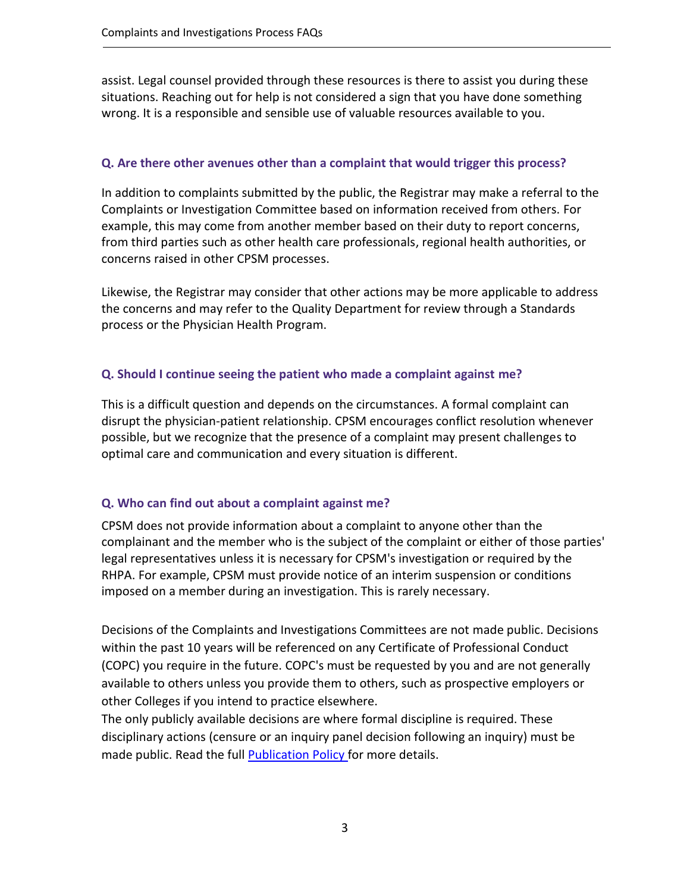assist. Legal counsel provided through these resources is there to assist you during these situations. Reaching out for help is not considered a sign that you have done something wrong. It is a responsible and sensible use of valuable resources available to you.

### **Q. Are there other avenues other than a complaint that would trigger this process?**

In addition to complaints submitted by the public, the Registrar may make a referral to the Complaints or Investigation Committee based on information received from others. For example, this may come from another member based on their duty to report concerns, from third parties such as other health care professionals, regional health authorities, or concerns raised in other CPSM processes.

Likewise, the Registrar may consider that other actions may be more applicable to address the concerns and may refer to the Quality Department for review through a Standards process or the Physician Health Program.

## **Q. Should I continue seeing the patient who made a complaint against me?**

This is a difficult question and depends on the circumstances. A formal complaint can disrupt the physician-patient relationship. CPSM encourages conflict resolution whenever possible, but we recognize that the presence of a complaint may present challenges to optimal care and communication and every situation is different.

## **Q. Who can find out about a complaint against me?**

CPSM does not provide information about a complaint to anyone other than the complainant and the member who is the subject of the complaint or either of those parties' legal representatives unless it is necessary for CPSM's investigation or required by the RHPA. For example, CPSM must provide notice of an interim suspension or conditions imposed on a member during an investigation. This is rarely necessary.

Decisions of the Complaints and Investigations Committees are not made public. Decisions within the past 10 years will be referenced on any Certificate of Professional Conduct (COPC) you require in the future. COPC's must be requested by you and are not generally available to others unless you provide them to others, such as prospective employers or other Colleges if you intend to practice elsewhere.

The only publicly available decisions are where formal discipline is required. These disciplinary actions (censure or an inquiry panel decision following an inquiry) must be made public. Read the full **Publication Policy** for more details.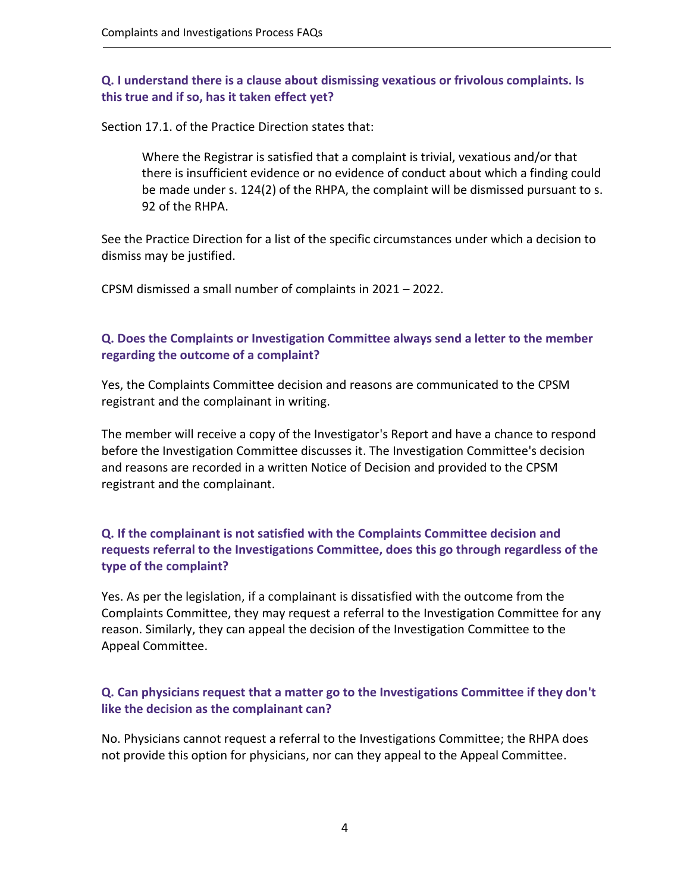### **Q. I understand there is a clause about dismissing vexatious or frivolous complaints. Is this true and if so, has it taken effect yet?**

Section 17.1. of the Practice Direction states that:

Where the Registrar is satisfied that a complaint is trivial, vexatious and/or that there is insufficient evidence or no evidence of conduct about which a finding could be made under s. 124(2) of the RHPA, the complaint will be dismissed pursuant to s. 92 of the RHPA.

See the Practice Direction for a list of the specific circumstances under which a decision to dismiss may be justified.

CPSM dismissed a small number of complaints in 2021 – 2022.

### **Q. Does the Complaints or Investigation Committee always send a letter to the member regarding the outcome of a complaint?**

Yes, the Complaints Committee decision and reasons are communicated to the CPSM registrant and the complainant in writing.

The member will receive a copy of the Investigator's Report and have a chance to respond before the Investigation Committee discusses it. The Investigation Committee's decision and reasons are recorded in a written Notice of Decision and provided to the CPSM registrant and the complainant.

## **Q. If the complainant is not satisfied with the Complaints Committee decision and requests referral to the Investigations Committee, does this go through regardless of the type of the complaint?**

Yes. As per the legislation, if a complainant is dissatisfied with the outcome from the Complaints Committee, they may request a referral to the Investigation Committee for any reason. Similarly, they can appeal the decision of the Investigation Committee to the Appeal Committee.

#### **Q. Can physicians request that a matter go to the Investigations Committee if they don't like the decision as the complainant can?**

No. Physicians cannot request a referral to the Investigations Committee; the RHPA does not provide this option for physicians, nor can they appeal to the Appeal Committee.